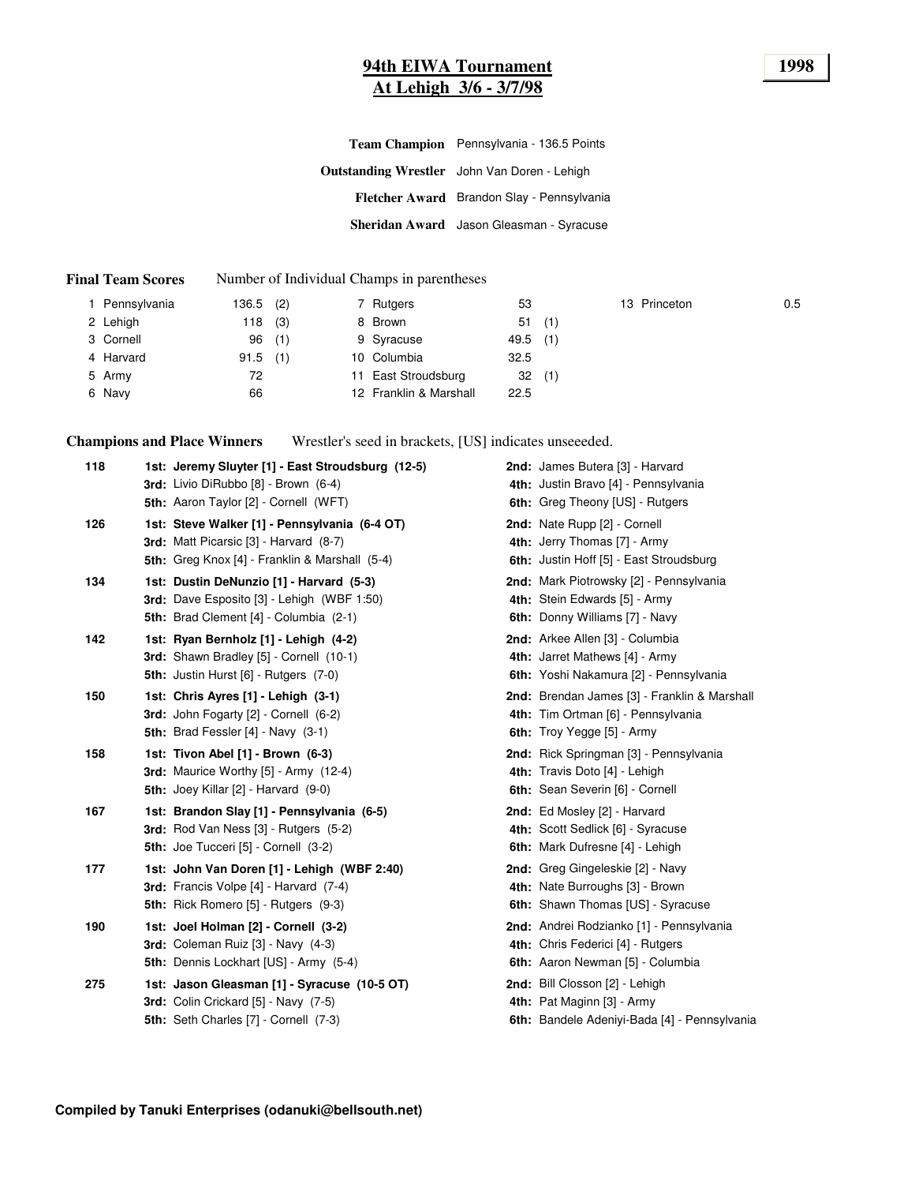# **94th EIWA Tournament 1998 At Lehigh 3/6 - 3/7/98**

| Team Champion Pennsylvania - 136.5 Points           |
|-----------------------------------------------------|
| <b>Outstanding Wrestler</b> John Van Doren - Lehigh |
| Fletcher Award Brandon Slay - Pennsylvania          |
| Sheridan Award Jason Gleasman - Syracuse            |

#### **Final Team Scores** Number of Individual Champs in parentheses

| I Pennsylvania | 136.5 | (2) | 7 Rutgers              | 53         |     | 13 Princeton | 0.5 |
|----------------|-------|-----|------------------------|------------|-----|--------------|-----|
| 2 Lehigh       | 118   | (3) | 8 Brown                | 51(1)      |     |              |     |
| 3 Cornell      | 96    | (1) | 9 Syracuse             | $49.5$ (1) |     |              |     |
| 4 Harvard      | 91.5  | (1) | 10 Columbia            | 32.5       |     |              |     |
| 5 Army         | 72    |     | 11 East Stroudsburg    | 32         | (1) |              |     |
| 6 Navy         | 66    |     | 12 Franklin & Marshall | 22.5       |     |              |     |

**Champions and Place Winners** Wrestler's seed in brackets, [US] indicates unseeeded.

| 118 | 1st: Jeremy Sluyter [1] - East Stroudsburg (12-5)<br>3rd: Livio DiRubbo [8] - Brown (6-4)                                                        | 2nd: James Butera [3] - Harvard<br>4th: Justin Bravo [4] - Pennsylvania                                            |
|-----|--------------------------------------------------------------------------------------------------------------------------------------------------|--------------------------------------------------------------------------------------------------------------------|
|     | 5th: Aaron Taylor [2] - Cornell (WFT)                                                                                                            | 6th: Greg Theony [US] - Rutgers                                                                                    |
| 126 | 1st: Steve Walker [1] - Pennsylvania (6-4 OT)<br>3rd: Matt Picarsic [3] - Harvard (8-7)<br><b>5th:</b> Greg Knox [4] - Franklin & Marshall (5-4) | 2nd: Nate Rupp [2] - Cornell<br>4th: Jerry Thomas [7] - Army<br><b>6th:</b> Justin Hoff [5] - East Stroudsburg     |
| 134 | 1st: Dustin DeNunzio [1] - Harvard (5-3)<br><b>3rd:</b> Dave Esposito [3] - Lehigh (WBF 1:50)<br>5th: Brad Clement [4] - Columbia (2-1)          | 2nd: Mark Piotrowsky [2] - Pennsylvania<br>4th: Stein Edwards [5] - Army<br>6th: Donny Williams [7] - Navy         |
| 142 | 1st: Ryan Bernholz [1] - Lehigh (4-2)<br>3rd: Shawn Bradley [5] - Cornell (10-1)<br><b>5th: Justin Hurst [6] - Rutgers (7-0)</b>                 | <b>2nd:</b> Arkee Allen [3] - Columbia<br>4th: Jarret Mathews [4] - Army<br>6th: Yoshi Nakamura [2] - Pennsylvania |
| 150 | 1st: Chris Ayres [1] - Lehigh (3-1)<br>3rd: John Fogarty [2] - Cornell (6-2)<br>5th: Brad Fessler $[4]$ - Navy $(3-1)$                           | 2nd: Brendan James [3] - Franklin & Marshall<br>4th: Tim Ortman [6] - Pennsylvania<br>6th: Troy Yegge [5] - Army   |
| 158 | 1st: Tivon Abel [1] - Brown (6-3)<br><b>3rd:</b> Maurice Worthy $[5]$ - Army $(12-4)$<br>5th: Joey Killar [2] - Harvard (9-0)                    | 2nd: Rick Springman [3] - Pennsylvania<br>4th: Travis Doto [4] - Lehigh<br>6th: Sean Severin [6] - Cornell         |
| 167 | 1st: Brandon Slay [1] - Pennsylvania (6-5)<br>3rd: Rod Van Ness [3] - Rutgers (5-2)<br>5th: Joe Tucceri [5] - Cornell (3-2)                      | 2nd: Ed Mosley [2] - Harvard<br>4th: Scott Sedlick [6] - Syracuse<br>6th: Mark Dufresne [4] - Lehigh               |
| 177 | 1st: John Van Doren [1] - Lehigh (WBF 2:40)<br>3rd: Francis Volpe [4] - Harvard (7-4)<br><b>5th:</b> Rick Romero [5] - Rutgers (9-3)             | 2nd: Greg Gingeleskie [2] - Navy<br>4th: Nate Burroughs [3] - Brown<br>6th: Shawn Thomas [US] - Syracuse           |
| 190 | 1st: Joel Holman [2] - Cornell (3-2)<br>3rd: Coleman Ruiz [3] - Navy (4-3)<br>5th: Dennis Lockhart [US] - Army (5-4)                             | 2nd: Andrei Rodzianko [1] - Pennsylvania<br>4th: Chris Federici [4] - Rutgers<br>6th: Aaron Newman [5] - Columbia  |
| 275 | 1st: Jason Gleasman [1] - Syracuse (10-5 OT)<br>3rd: Colin Crickard [5] - Navy (7-5)<br>5th: Seth Charles [7] - Cornell (7-3)                    | 2nd: Bill Closson [2] - Lehigh<br>4th: Pat Maginn [3] - Army<br>6th: Bandele Adeniyi-Bada [4] - Pennsylvania       |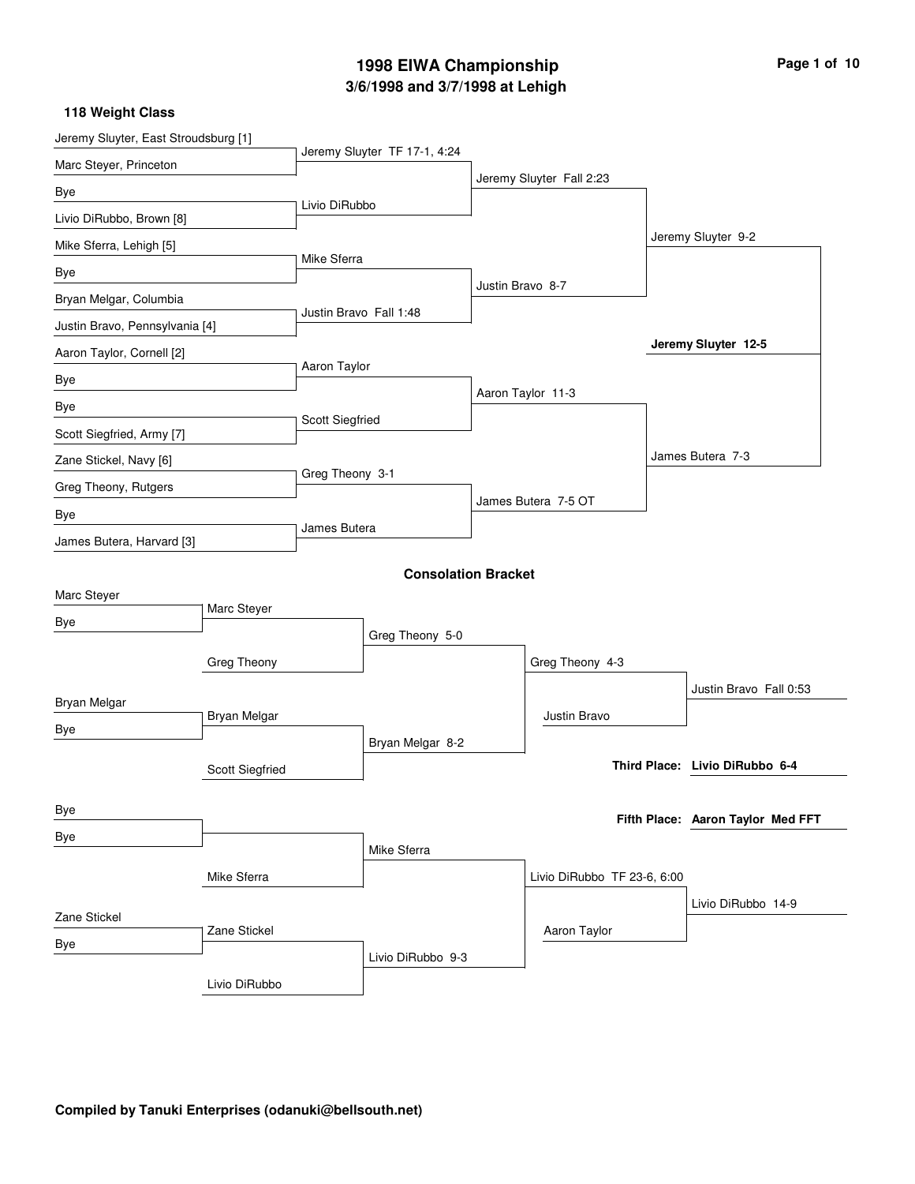# **3/6/1998 and 3/7/1998 at Lehigh 1998 EIWA Championship Page 1 of 10**

| Jeremy Sluyter, East Stroudsburg [1] |                 |                        |                              |                  |                             |  |                                   |
|--------------------------------------|-----------------|------------------------|------------------------------|------------------|-----------------------------|--|-----------------------------------|
| Marc Steyer, Princeton               |                 |                        | Jeremy Sluyter TF 17-1, 4:24 |                  |                             |  |                                   |
| Bye                                  |                 |                        |                              |                  | Jeremy Sluyter Fall 2:23    |  |                                   |
| Livio DiRubbo, Brown [8]             |                 | Livio DiRubbo          |                              |                  |                             |  |                                   |
| Mike Sferra, Lehigh [5]              |                 |                        |                              |                  |                             |  | Jeremy Sluyter 9-2                |
| Bye                                  |                 | Mike Sferra            |                              |                  |                             |  |                                   |
| Bryan Melgar, Columbia               |                 |                        |                              | Justin Bravo 8-7 |                             |  |                                   |
| Justin Bravo, Pennsylvania [4]       |                 | Justin Bravo Fall 1:48 |                              |                  |                             |  |                                   |
| Aaron Taylor, Cornell [2]            |                 |                        |                              |                  |                             |  | Jeremy Sluyter 12-5               |
| Bye                                  |                 | Aaron Taylor           |                              |                  |                             |  |                                   |
| Bye                                  |                 |                        |                              |                  | Aaron Taylor 11-3           |  |                                   |
| Scott Siegfried, Army [7]            |                 | Scott Siegfried        |                              |                  |                             |  |                                   |
| Zane Stickel, Navy [6]               |                 |                        |                              |                  |                             |  | James Butera 7-3                  |
| Greg Theony, Rutgers                 |                 | Greg Theony 3-1        |                              |                  |                             |  |                                   |
| Bye                                  |                 |                        |                              |                  | James Butera 7-5 OT         |  |                                   |
| James Butera, Harvard [3]            |                 | James Butera           |                              |                  |                             |  |                                   |
|                                      |                 |                        | <b>Consolation Bracket</b>   |                  |                             |  |                                   |
| Marc Steyer                          |                 |                        |                              |                  |                             |  |                                   |
| Bye                                  | Marc Steyer     |                        |                              |                  |                             |  |                                   |
|                                      |                 |                        | Greg Theony 5-0              |                  |                             |  |                                   |
|                                      | Greg Theony     |                        |                              |                  | Greg Theony 4-3             |  |                                   |
| Bryan Melgar                         |                 |                        |                              |                  |                             |  | Justin Bravo Fall 0:53            |
| Bye                                  | Bryan Melgar    |                        |                              |                  | Justin Bravo                |  |                                   |
|                                      |                 |                        | Bryan Melgar 8-2             |                  |                             |  |                                   |
|                                      | Scott Siegfried |                        |                              |                  |                             |  | Third Place: Livio DiRubbo 6-4    |
| Bye                                  |                 |                        |                              |                  |                             |  |                                   |
| Bye                                  |                 |                        |                              |                  |                             |  | Fifth Place: Aaron Taylor Med FFT |
|                                      |                 |                        | Mike Sferra                  |                  |                             |  |                                   |
|                                      | Mike Sferra     |                        |                              |                  | Livio DiRubbo TF 23-6, 6:00 |  |                                   |
| Zane Stickel                         |                 |                        |                              |                  |                             |  | Livio DiRubbo 14-9                |
| Bye                                  | Zane Stickel    |                        |                              |                  | Aaron Taylor                |  |                                   |
|                                      |                 |                        | Livio DiRubbo 9-3            |                  |                             |  |                                   |
|                                      | Livio DiRubbo   |                        |                              |                  |                             |  |                                   |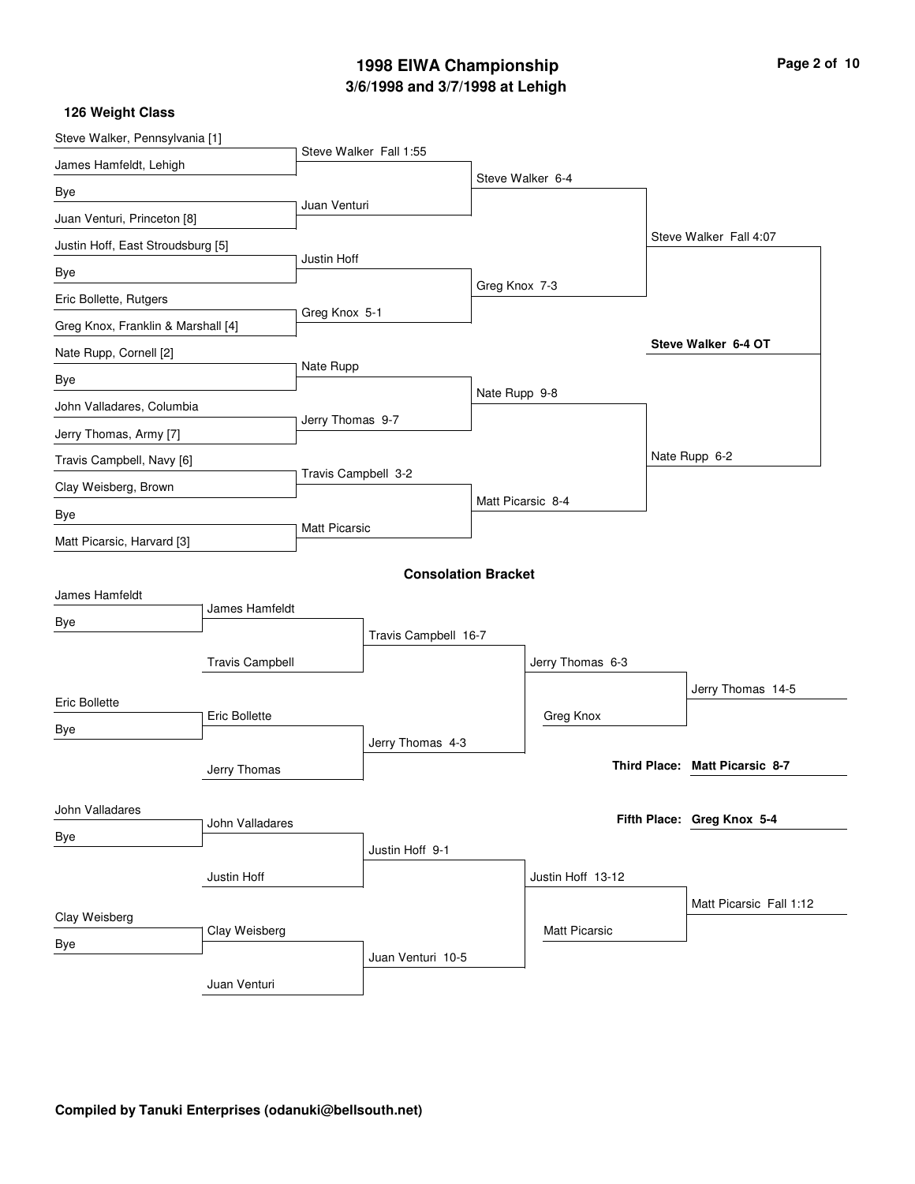# **3/6/1998 and 3/7/1998 at Lehigh 1998 EIWA Championship Page 2 of 10**

| Steve Walker, Pennsylvania [1]     |                        |                      |                            |                   |                      |                                |
|------------------------------------|------------------------|----------------------|----------------------------|-------------------|----------------------|--------------------------------|
| James Hamfeldt, Lehigh             |                        |                      | Steve Walker Fall 1:55     |                   |                      |                                |
| Bye                                |                        |                      |                            |                   | Steve Walker 6-4     |                                |
| Juan Venturi, Princeton [8]        |                        | Juan Venturi         |                            |                   |                      |                                |
| Justin Hoff, East Stroudsburg [5]  |                        |                      |                            |                   |                      | Steve Walker Fall 4:07         |
| Bye                                |                        | Justin Hoff          |                            |                   |                      |                                |
| Eric Bollette, Rutgers             |                        |                      |                            | Greg Knox 7-3     |                      |                                |
| Greg Knox, Franklin & Marshall [4] |                        | Greg Knox 5-1        |                            |                   |                      |                                |
| Nate Rupp, Cornell [2]             |                        |                      |                            |                   |                      | Steve Walker 6-4 OT            |
| Bye                                |                        | Nate Rupp            |                            |                   |                      |                                |
| John Valladares, Columbia          |                        |                      |                            | Nate Rupp 9-8     |                      |                                |
| Jerry Thomas, Army [7]             |                        | Jerry Thomas 9-7     |                            |                   |                      |                                |
| Travis Campbell, Navy [6]          |                        |                      |                            |                   |                      | Nate Rupp 6-2                  |
| Clay Weisberg, Brown               |                        | Travis Campbell 3-2  |                            |                   |                      |                                |
| Bye                                |                        |                      |                            | Matt Picarsic 8-4 |                      |                                |
| Matt Picarsic, Harvard [3]         |                        | <b>Matt Picarsic</b> |                            |                   |                      |                                |
|                                    |                        |                      | <b>Consolation Bracket</b> |                   |                      |                                |
| James Hamfeldt                     |                        |                      |                            |                   |                      |                                |
| Bye                                | James Hamfeldt         |                      |                            |                   |                      |                                |
|                                    |                        |                      | Travis Campbell 16-7       |                   |                      |                                |
|                                    | <b>Travis Campbell</b> |                      |                            |                   | Jerry Thomas 6-3     |                                |
| Eric Bollette                      |                        |                      |                            |                   |                      | Jerry Thomas 14-5              |
| Bye                                | Eric Bollette          |                      |                            |                   | Greg Knox            |                                |
|                                    |                        |                      | Jerry Thomas 4-3           |                   |                      | Third Place: Matt Picarsic 8-7 |
|                                    | Jerry Thomas           |                      |                            |                   |                      |                                |
| John Valladares                    |                        |                      |                            |                   |                      | Fifth Place: Greg Knox 5-4     |
| Bye                                | John Valladares        |                      |                            |                   |                      |                                |
|                                    |                        |                      | Justin Hoff 9-1            |                   |                      |                                |
|                                    | Justin Hoff            |                      |                            |                   | Justin Hoff 13-12    |                                |
| Clay Weisberg                      |                        |                      |                            |                   |                      | Matt Picarsic Fall 1:12        |
| Bye                                | Clay Weisberg          |                      |                            |                   | <b>Matt Picarsic</b> |                                |
|                                    |                        |                      | Juan Venturi 10-5          |                   |                      |                                |
|                                    | Juan Venturi           |                      |                            |                   |                      |                                |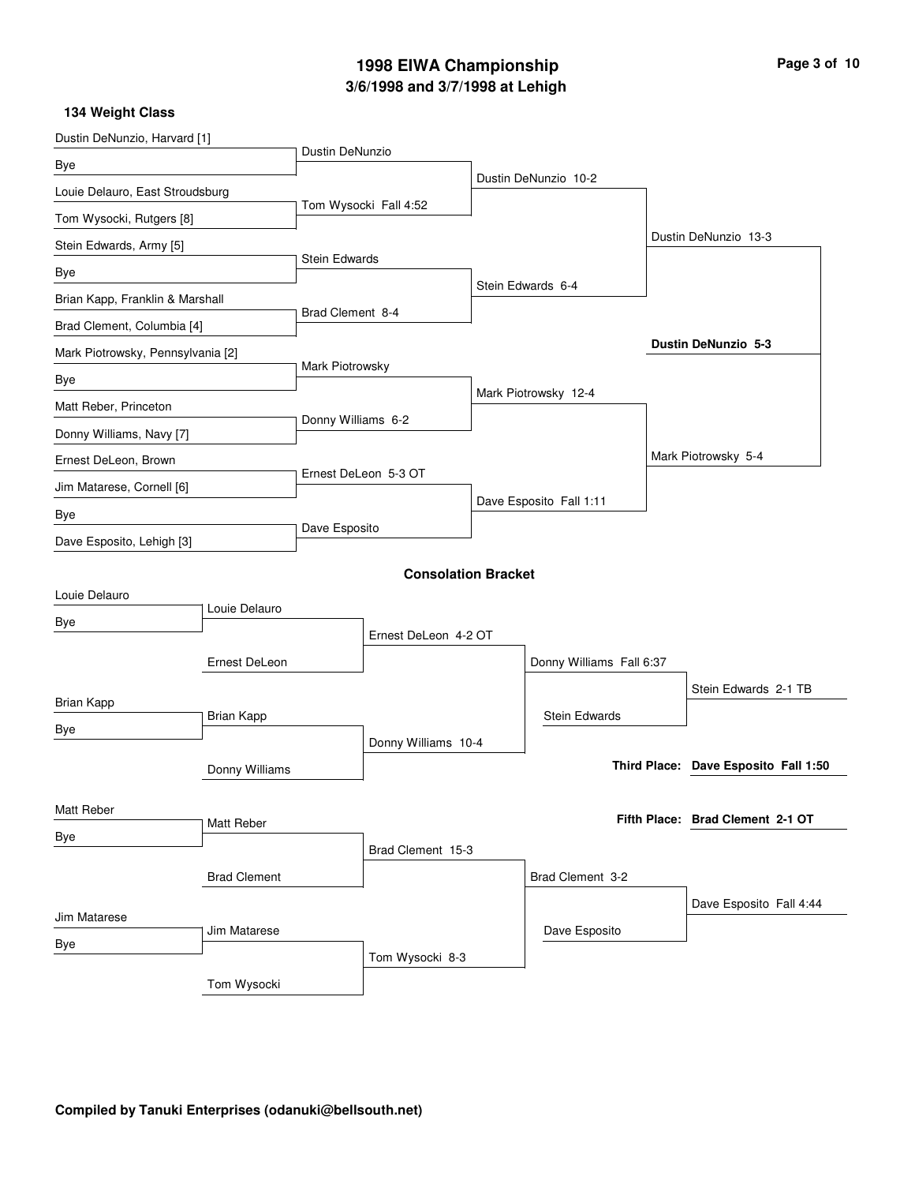# **3/6/1998 and 3/7/1998 at Lehigh 1998 EIWA Championship Page 3 of 10**

| Dustin DeNunzio, Harvard [1]      |                   |                      |                            |                  |                          |  |                                      |
|-----------------------------------|-------------------|----------------------|----------------------------|------------------|--------------------------|--|--------------------------------------|
| Bye                               |                   | Dustin DeNunzio      |                            |                  |                          |  |                                      |
| Louie Delauro, East Stroudsburg   |                   |                      |                            |                  | Dustin DeNunzio 10-2     |  |                                      |
| Tom Wysocki, Rutgers [8]          |                   |                      | Tom Wysocki Fall 4:52      |                  |                          |  |                                      |
| Stein Edwards, Army [5]           |                   |                      |                            |                  |                          |  | Dustin DeNunzio 13-3                 |
| Bye                               |                   | Stein Edwards        |                            |                  |                          |  |                                      |
| Brian Kapp, Franklin & Marshall   |                   |                      |                            |                  | Stein Edwards 6-4        |  |                                      |
| Brad Clement, Columbia [4]        |                   | Brad Clement 8-4     |                            |                  |                          |  |                                      |
| Mark Piotrowsky, Pennsylvania [2] |                   |                      |                            |                  |                          |  | Dustin DeNunzio 5-3                  |
| Bye                               |                   | Mark Piotrowsky      |                            |                  |                          |  |                                      |
| Matt Reber, Princeton             |                   |                      |                            |                  | Mark Piotrowsky 12-4     |  |                                      |
| Donny Williams, Navy [7]          |                   | Donny Williams 6-2   |                            |                  |                          |  |                                      |
| Ernest DeLeon, Brown              |                   |                      |                            |                  |                          |  | Mark Piotrowsky 5-4                  |
| Jim Matarese, Cornell [6]         |                   | Ernest DeLeon 5-3 OT |                            |                  |                          |  |                                      |
| Bye                               |                   |                      |                            |                  | Dave Esposito Fall 1:11  |  |                                      |
| Dave Esposito, Lehigh [3]         |                   | Dave Esposito        |                            |                  |                          |  |                                      |
|                                   |                   |                      | <b>Consolation Bracket</b> |                  |                          |  |                                      |
| Louie Delauro                     |                   |                      |                            |                  |                          |  |                                      |
| Bye                               | Louie Delauro     |                      |                            |                  |                          |  |                                      |
|                                   |                   | Ernest DeLeon 4-2 OT |                            |                  |                          |  |                                      |
|                                   | Ernest DeLeon     |                      |                            |                  | Donny Williams Fall 6:37 |  |                                      |
| <b>Brian Kapp</b>                 |                   |                      |                            |                  |                          |  | Stein Edwards 2-1 TB                 |
| Bye                               | <b>Brian Kapp</b> |                      |                            |                  | <b>Stein Edwards</b>     |  |                                      |
|                                   |                   |                      | Donny Williams 10-4        |                  |                          |  |                                      |
|                                   | Donny Williams    |                      |                            |                  |                          |  | Third Place: Dave Esposito Fall 1:50 |
| Matt Reber                        |                   |                      |                            |                  |                          |  |                                      |
| Bye                               | Matt Reber        |                      |                            |                  |                          |  | Fifth Place: Brad Clement 2-1 OT     |
|                                   |                   |                      | Brad Clement 15-3          |                  |                          |  |                                      |
|                                   |                   |                      |                            | Brad Clement 3-2 |                          |  |                                      |
| Jim Matarese                      |                   |                      |                            |                  |                          |  | Dave Esposito Fall 4:44              |
| Bye                               | Jim Matarese      |                      |                            |                  | Dave Esposito            |  |                                      |
|                                   |                   |                      | Tom Wysocki 8-3            |                  |                          |  |                                      |
|                                   | Tom Wysocki       |                      |                            |                  |                          |  |                                      |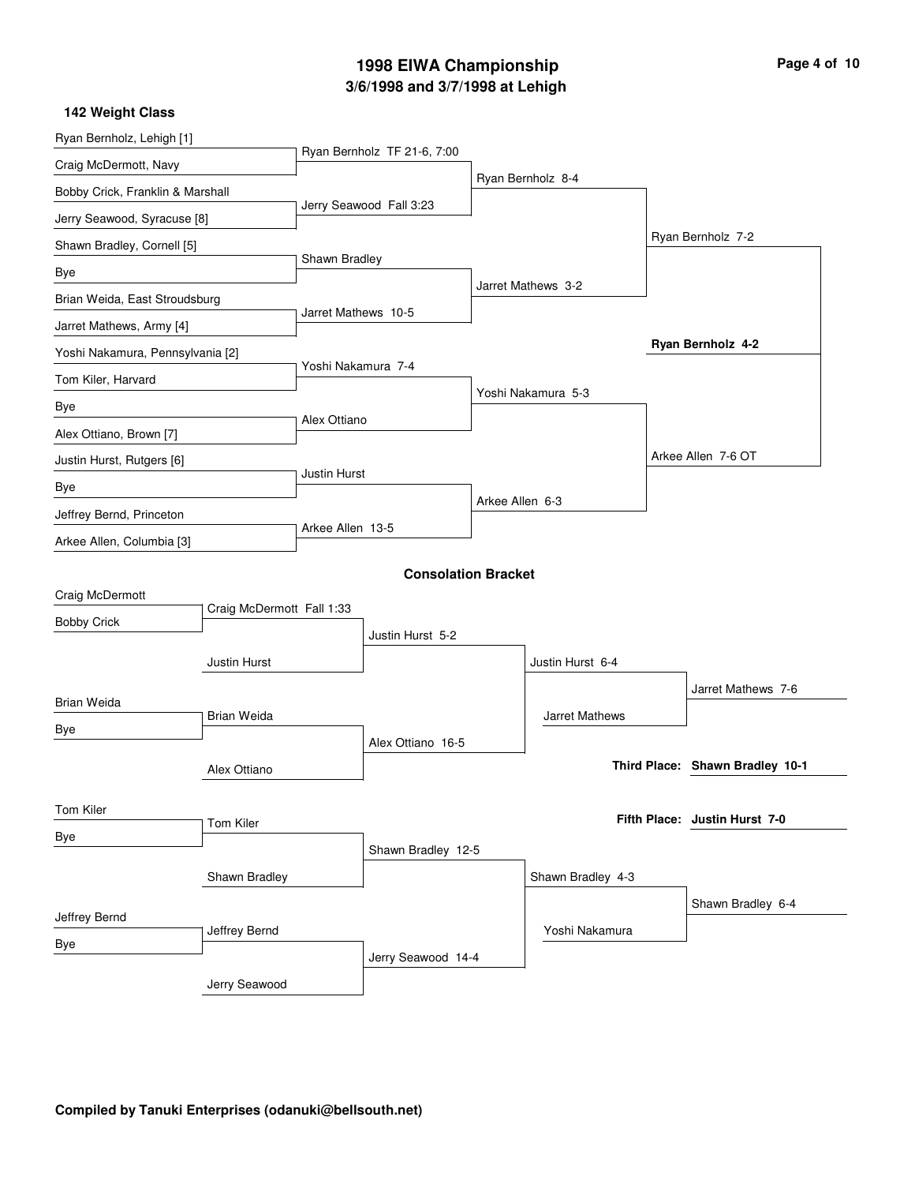### **3/6/1998 and 3/7/1998 at Lehigh 1998 EIWA Championship Page 4 of 10**

#### Ryan Bernholz, Lehigh [1] Craig McDermott, Navy Bobby Crick, Franklin & Marshall Jerry Seawood, Syracuse [8] Shawn Bradley, Cornell [5] Brian Weida, East Stroudsburg Jarret Mathews, Army [4] Yoshi Nakamura, Pennsylvania [2] Tom Kiler, Harvard Alex Ottiano, Brown [7] Justin Hurst, Rutgers [6] Jeffrey Bernd, Princeton Arkee Allen, Columbia [3] Ryan Bernholz TF 21-6, 7:00 Jerry Seawood Fall 3:23 Shawn Bradley Jarret Mathews 10-5 Yoshi Nakamura 7-4 Alex Ottiano Justin Hurst Arkee Allen 13-5 Ryan Bernholz 8-4 Jarret Mathews 3-2 Yoshi Nakamura 5-3 Arkee Allen 6-3 Ryan Bernholz 7-2 Arkee Allen 7-6 OT **Ryan Bernholz 4-2 142 Weight Class Consolation Bracket** Craig McDermott Bobby Crick Brian Weida Justin Hurst Tom Kiler Alex Ottiano Craig McDermott Fall 1:33 Brian Weida Tom Kiler Justin Hurst 5-2 Alex Ottiano 16-5 Shawn Bradley 12-5 Justin Hurst 6-4 Jarret Mathews Jarret Mathews 7-6 **Shawn Bradley 10-1 Third Place: Justin Hurst 7-0 Fifth Place:**

Shawn Bradley Jeffrey Bernd Bye Jerry Seawood Jeffrey Bernd Jerry Seawood 14-4 Shawn Bradley 4-3 Yoshi Nakamura Shawn Bradley 6-4

#### **Compiled by Tanuki Enterprises (odanuki@bellsouth.net)**

Bye

Bye

Bye

Bye

Bye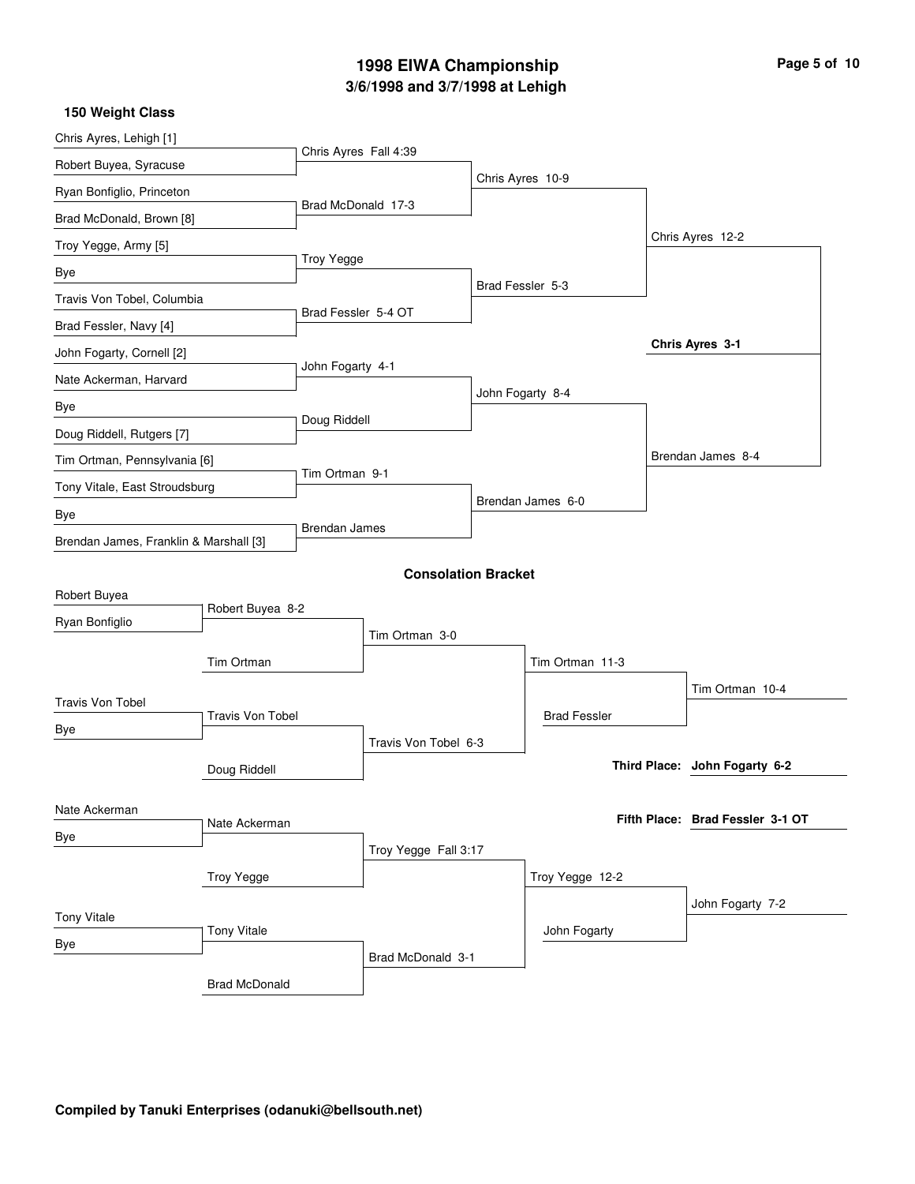# **3/6/1998 and 3/7/1998 at Lehigh 1998 EIWA Championship Page 5 of 10**

| Chris Ayres, Lehigh [1]                |                               |                       |                            |                  |                     |                                  |
|----------------------------------------|-------------------------------|-----------------------|----------------------------|------------------|---------------------|----------------------------------|
| Robert Buyea, Syracuse                 |                               | Chris Ayres Fall 4:39 |                            |                  |                     |                                  |
| Ryan Bonfiglio, Princeton              |                               |                       |                            |                  | Chris Ayres 10-9    |                                  |
| Brad McDonald, Brown [8]               |                               | Brad McDonald 17-3    |                            |                  |                     |                                  |
| Troy Yegge, Army [5]                   |                               |                       |                            |                  |                     | Chris Ayres 12-2                 |
| Bye                                    |                               | <b>Troy Yegge</b>     |                            |                  |                     |                                  |
| Travis Von Tobel, Columbia             |                               |                       |                            | Brad Fessler 5-3 |                     |                                  |
| Brad Fessler, Navy [4]                 |                               | Brad Fessler 5-4 OT   |                            |                  |                     |                                  |
| John Fogarty, Cornell [2]              |                               |                       |                            |                  |                     | Chris Ayres 3-1                  |
| Nate Ackerman, Harvard                 |                               |                       | John Fogarty 4-1           |                  |                     |                                  |
| Bye                                    |                               |                       |                            |                  | John Fogarty 8-4    |                                  |
| Doug Riddell, Rutgers [7]              |                               | Doug Riddell          |                            |                  |                     |                                  |
| Tim Ortman, Pennsylvania [6]           |                               |                       |                            |                  |                     | Brendan James 8-4                |
|                                        | Tony Vitale, East Stroudsburg |                       | Tim Ortman 9-1             |                  |                     |                                  |
| Bye                                    |                               |                       |                            |                  | Brendan James 6-0   |                                  |
| Brendan James, Franklin & Marshall [3] |                               | <b>Brendan James</b>  |                            |                  |                     |                                  |
|                                        |                               |                       | <b>Consolation Bracket</b> |                  |                     |                                  |
| Robert Buyea                           |                               |                       |                            |                  |                     |                                  |
| Ryan Bonfiglio                         | Robert Buyea 8-2              |                       |                            |                  |                     |                                  |
|                                        |                               |                       | Tim Ortman 3-0             |                  |                     |                                  |
|                                        | Tim Ortman                    |                       |                            |                  | Tim Ortman 11-3     |                                  |
| <b>Travis Von Tobel</b>                |                               |                       |                            |                  |                     | Tim Ortman 10-4                  |
| Bye                                    | <b>Travis Von Tobel</b>       |                       |                            |                  | <b>Brad Fessler</b> |                                  |
|                                        |                               |                       | Travis Von Tobel 6-3       |                  |                     |                                  |
|                                        | Doug Riddell                  |                       |                            |                  |                     | Third Place: John Fogarty 6-2    |
| Nate Ackerman                          |                               |                       |                            |                  |                     |                                  |
| Bye                                    | Nate Ackerman                 |                       |                            |                  |                     | Fifth Place: Brad Fessler 3-1 OT |
|                                        |                               |                       | Troy Yegge Fall 3:17       |                  |                     |                                  |
|                                        |                               |                       |                            | Troy Yegge 12-2  |                     |                                  |
| <b>Tony Vitale</b>                     |                               |                       |                            |                  |                     | John Fogarty 7-2                 |
| Bye                                    | <b>Tony Vitale</b>            |                       |                            |                  | John Fogarty        |                                  |
|                                        |                               |                       | Brad McDonald 3-1          |                  |                     |                                  |
|                                        | <b>Brad McDonald</b>          |                       |                            |                  |                     |                                  |

**150 Weight Class**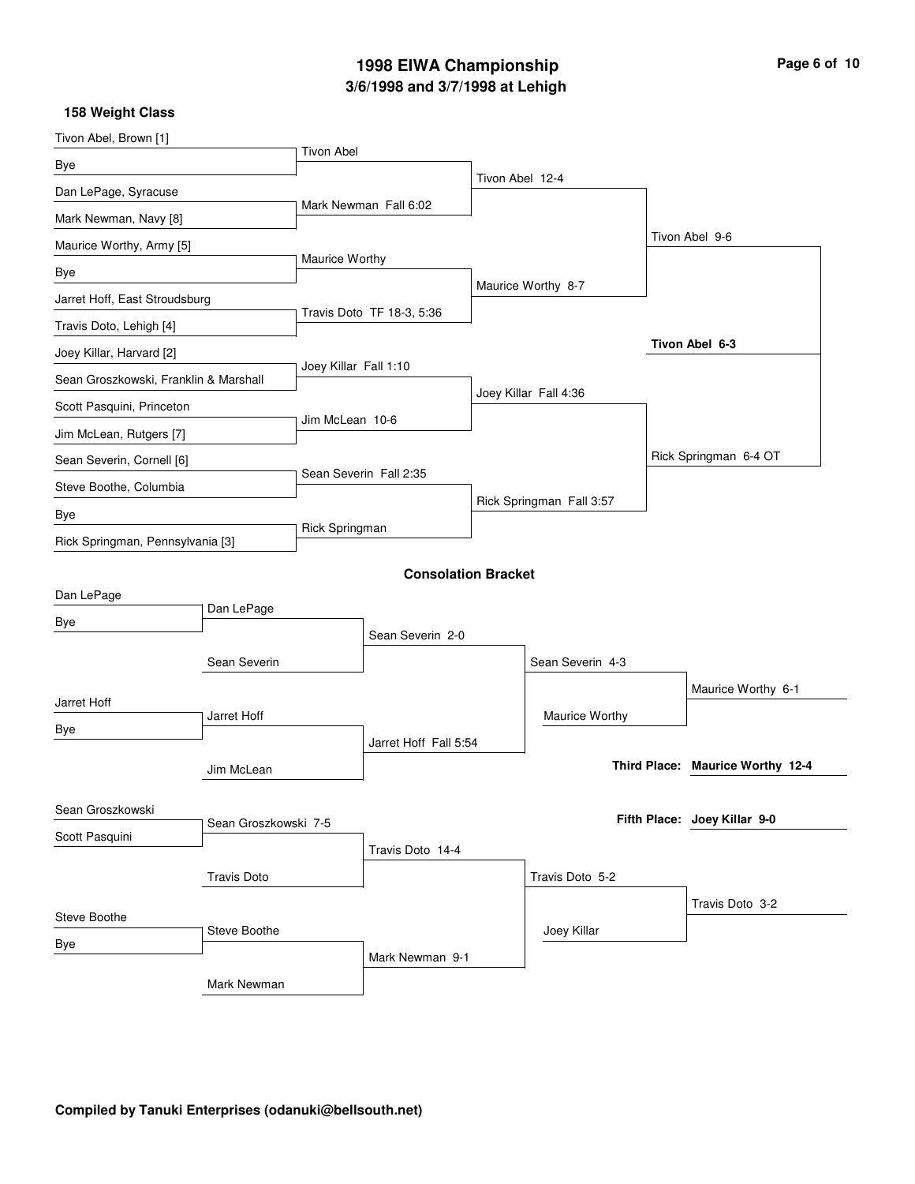# **3/6/1998 and 3/7/1998 at Lehigh 1998 EIWA Championship Page 6 of 10**

| Tivon Abel, Brown [1]                 |                      |                       |                            |                 |                          |  |                                  |
|---------------------------------------|----------------------|-----------------------|----------------------------|-----------------|--------------------------|--|----------------------------------|
| Bye                                   |                      | <b>Tivon Abel</b>     |                            |                 |                          |  |                                  |
| Dan LePage, Syracuse                  |                      |                       |                            | Tivon Abel 12-4 |                          |  |                                  |
| Mark Newman, Navy [8]                 |                      |                       | Mark Newman Fall 6:02      |                 |                          |  |                                  |
| Maurice Worthy, Army [5]              |                      |                       |                            |                 |                          |  | Tivon Abel 9-6                   |
| Bye                                   |                      | Maurice Worthy        |                            |                 |                          |  |                                  |
| Jarret Hoff, East Stroudsburg         |                      |                       |                            |                 | Maurice Worthy 8-7       |  |                                  |
| Travis Doto, Lehigh [4]               |                      |                       | Travis Doto TF 18-3, 5:36  |                 |                          |  |                                  |
| Joey Killar, Harvard [2]              |                      |                       |                            |                 |                          |  | Tivon Abel 6-3                   |
| Sean Groszkowski, Franklin & Marshall |                      | Joey Killar Fall 1:10 |                            |                 |                          |  |                                  |
| Scott Pasquini, Princeton             |                      |                       |                            |                 | Joey Killar Fall 4:36    |  |                                  |
| Jim McLean, Rutgers [7]               |                      | Jim McLean 10-6       |                            |                 |                          |  |                                  |
| Sean Severin, Cornell [6]             |                      |                       |                            |                 |                          |  | Rick Springman 6-4 OT            |
| Steve Boothe, Columbia                |                      |                       | Sean Severin Fall 2:35     |                 |                          |  |                                  |
| Bye                                   |                      |                       |                            |                 | Rick Springman Fall 3:57 |  |                                  |
| Rick Springman, Pennsylvania [3]      |                      | Rick Springman        |                            |                 |                          |  |                                  |
|                                       |                      |                       | <b>Consolation Bracket</b> |                 |                          |  |                                  |
| Dan LePage                            |                      |                       |                            |                 |                          |  |                                  |
| Bye                                   | Dan LePage           |                       |                            |                 |                          |  |                                  |
|                                       |                      |                       | Sean Severin 2-0           |                 |                          |  |                                  |
|                                       | Sean Severin         |                       |                            |                 | Sean Severin 4-3         |  |                                  |
| Jarret Hoff                           |                      |                       |                            |                 |                          |  | Maurice Worthy 6-1               |
| Bye                                   | Jarret Hoff          |                       |                            |                 | Maurice Worthy           |  |                                  |
|                                       |                      |                       | Jarret Hoff Fall 5:54      |                 |                          |  |                                  |
|                                       | Jim McLean           |                       |                            |                 |                          |  | Third Place: Maurice Worthy 12-4 |
| Sean Groszkowski                      |                      |                       |                            |                 |                          |  |                                  |
| Scott Pasquini                        | Sean Groszkowski 7-5 |                       |                            |                 |                          |  | Fifth Place: Joey Killar 9-0     |
|                                       |                      |                       | Travis Doto 14-4           |                 |                          |  |                                  |
| <b>Travis Doto</b>                    |                      |                       |                            |                 | Travis Doto 5-2          |  |                                  |
| Steve Boothe                          |                      |                       |                            |                 |                          |  | Travis Doto 3-2                  |
| Bye                                   | Steve Boothe         |                       |                            |                 | Joey Killar              |  |                                  |
|                                       |                      |                       | Mark Newman 9-1            |                 |                          |  |                                  |
|                                       | Mark Newman          |                       |                            |                 |                          |  |                                  |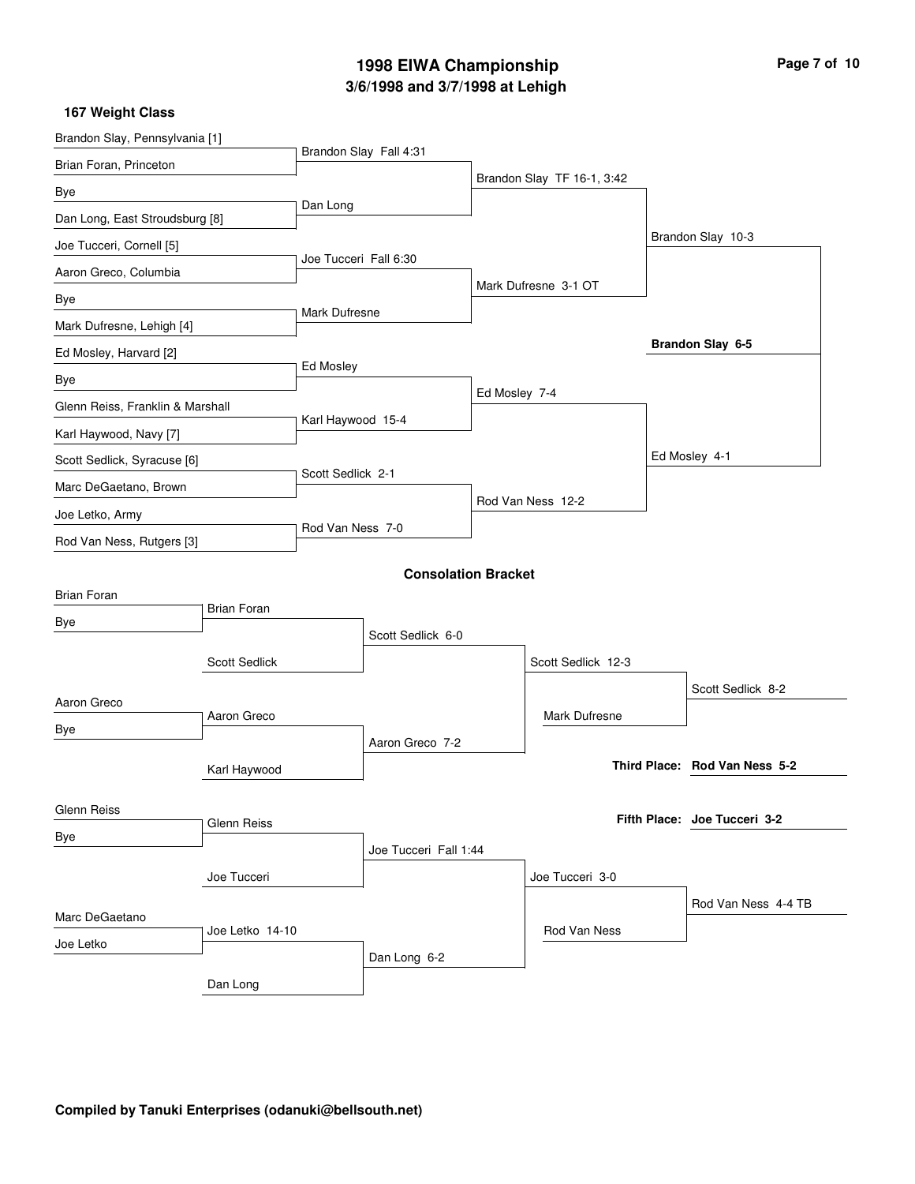# **3/6/1998 and 3/7/1998 at Lehigh 1998 EIWA Championship Page 7 of 10**

| Brandon Slay, Pennsylvania [1]   |                      |                       |                            |                   |                            |  |                               |  |
|----------------------------------|----------------------|-----------------------|----------------------------|-------------------|----------------------------|--|-------------------------------|--|
| Brian Foran, Princeton           |                      |                       | Brandon Slay Fall 4:31     |                   |                            |  |                               |  |
| Bye                              |                      |                       |                            |                   | Brandon Slay TF 16-1, 3:42 |  |                               |  |
| Dan Long, East Stroudsburg [8]   |                      | Dan Long              |                            |                   |                            |  |                               |  |
| Joe Tucceri, Cornell [5]         |                      |                       |                            |                   |                            |  | Brandon Slay 10-3             |  |
| Aaron Greco, Columbia            |                      | Joe Tucceri Fall 6:30 |                            |                   |                            |  |                               |  |
| Bye                              |                      |                       |                            |                   | Mark Dufresne 3-1 OT       |  |                               |  |
| Mark Dufresne, Lehigh [4]        |                      | <b>Mark Dufresne</b>  |                            |                   |                            |  |                               |  |
| Ed Mosley, Harvard [2]           |                      |                       |                            |                   |                            |  | Brandon Slay 6-5              |  |
| Bye                              |                      | Ed Mosley             |                            |                   |                            |  |                               |  |
| Glenn Reiss, Franklin & Marshall |                      |                       |                            | Ed Mosley 7-4     |                            |  |                               |  |
| Karl Haywood, Navy [7]           |                      | Karl Haywood 15-4     |                            |                   |                            |  |                               |  |
| Scott Sedlick, Syracuse [6]      |                      |                       |                            |                   |                            |  | Ed Mosley 4-1                 |  |
| Marc DeGaetano, Brown            | Scott Sedlick 2-1    |                       |                            |                   |                            |  |                               |  |
| Joe Letko, Army                  |                      |                       |                            | Rod Van Ness 12-2 |                            |  |                               |  |
| Rod Van Ness, Rutgers [3]        |                      |                       | Rod Van Ness 7-0           |                   |                            |  |                               |  |
|                                  |                      |                       | <b>Consolation Bracket</b> |                   |                            |  |                               |  |
| <b>Brian Foran</b>               |                      |                       |                            |                   |                            |  |                               |  |
| Bye                              | <b>Brian Foran</b>   |                       |                            |                   |                            |  |                               |  |
|                                  |                      |                       | Scott Sedlick 6-0          |                   |                            |  |                               |  |
|                                  | <b>Scott Sedlick</b> |                       |                            |                   | Scott Sedlick 12-3         |  |                               |  |
| Aaron Greco                      |                      |                       |                            |                   |                            |  | Scott Sedlick 8-2             |  |
| Bye                              | Aaron Greco          |                       |                            |                   | <b>Mark Dufresne</b>       |  |                               |  |
|                                  |                      |                       | Aaron Greco 7-2            |                   |                            |  |                               |  |
|                                  | Karl Haywood         |                       |                            |                   |                            |  | Third Place: Rod Van Ness 5-2 |  |
| <b>Glenn Reiss</b>               |                      |                       |                            |                   |                            |  |                               |  |
| Bye                              | Glenn Reiss          |                       |                            |                   |                            |  | Fifth Place: Joe Tucceri 3-2  |  |
|                                  |                      |                       | Joe Tucceri Fall 1:44      |                   |                            |  |                               |  |
|                                  |                      |                       |                            | Joe Tucceri 3-0   |                            |  |                               |  |
| Marc DeGaetano                   |                      |                       |                            |                   |                            |  | Rod Van Ness 4-4 TB           |  |
| Joe Letko                        | Joe Letko 14-10      |                       |                            |                   | Rod Van Ness               |  |                               |  |
|                                  |                      |                       | Dan Long 6-2               |                   |                            |  |                               |  |
|                                  | Dan Long             |                       |                            |                   |                            |  |                               |  |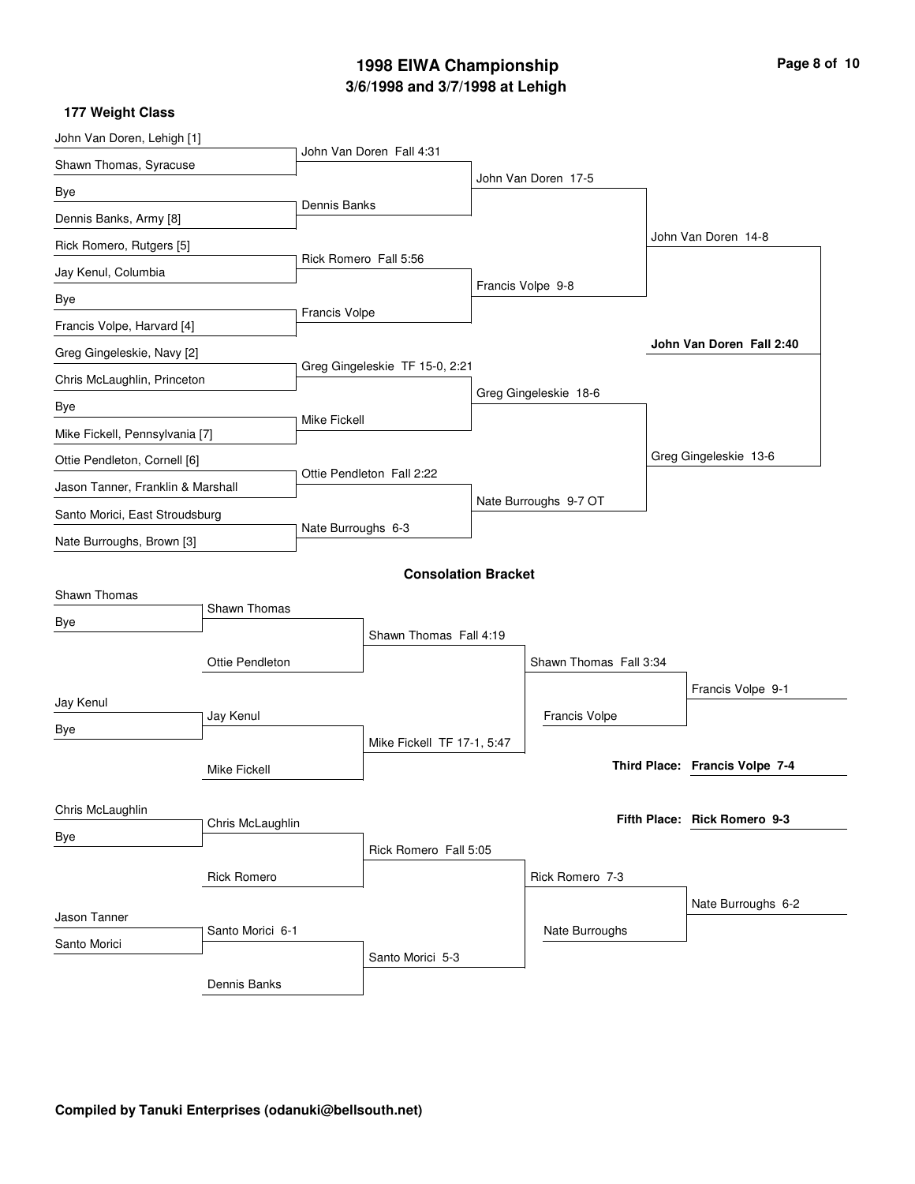# **3/6/1998 and 3/7/1998 at Lehigh 1998 EIWA Championship Page 8 of 10**

| John Van Doren, Lehigh [1]        |                        |                                |                            |                       |                        |  |                                |
|-----------------------------------|------------------------|--------------------------------|----------------------------|-----------------------|------------------------|--|--------------------------------|
| Shawn Thomas, Syracuse            |                        |                                | John Van Doren Fall 4:31   |                       |                        |  |                                |
| Bye                               |                        |                                |                            |                       | John Van Doren 17-5    |  |                                |
| Dennis Banks, Army [8]            |                        | <b>Dennis Banks</b>            |                            |                       |                        |  |                                |
| Rick Romero, Rutgers [5]          |                        |                                |                            |                       |                        |  | John Van Doren 14-8            |
| Jay Kenul, Columbia               |                        |                                | Rick Romero Fall 5:56      |                       |                        |  |                                |
| Bye                               |                        |                                |                            |                       | Francis Volpe 9-8      |  |                                |
| Francis Volpe, Harvard [4]        |                        | Francis Volpe                  |                            |                       |                        |  |                                |
| Greg Gingeleskie, Navy [2]        |                        |                                |                            |                       |                        |  | John Van Doren Fall 2:40       |
| Chris McLaughlin, Princeton       |                        | Greg Gingeleskie TF 15-0, 2:21 |                            |                       |                        |  |                                |
| Bye                               |                        |                                |                            |                       | Greg Gingeleskie 18-6  |  |                                |
| Mike Fickell, Pennsylvania [7]    |                        | Mike Fickell                   |                            |                       |                        |  |                                |
| Ottie Pendleton, Cornell [6]      |                        |                                |                            |                       |                        |  | Greg Gingeleskie 13-6          |
| Jason Tanner, Franklin & Marshall |                        | Ottie Pendleton Fall 2:22      |                            |                       |                        |  |                                |
| Santo Morici, East Stroudsburg    |                        |                                |                            | Nate Burroughs 9-7 OT |                        |  |                                |
| Nate Burroughs, Brown [3]         |                        | Nate Burroughs 6-3             |                            |                       |                        |  |                                |
|                                   |                        |                                | <b>Consolation Bracket</b> |                       |                        |  |                                |
| Shawn Thomas                      | Shawn Thomas           |                                |                            |                       |                        |  |                                |
| Bye                               |                        |                                | Shawn Thomas Fall 4:19     |                       |                        |  |                                |
|                                   |                        |                                |                            |                       |                        |  |                                |
|                                   | <b>Ottie Pendleton</b> |                                |                            |                       | Shawn Thomas Fall 3:34 |  |                                |
| Jay Kenul                         |                        |                                |                            |                       |                        |  | Francis Volpe 9-1              |
| Bye                               | Jay Kenul              |                                |                            |                       | <b>Francis Volpe</b>   |  |                                |
|                                   | Mike Fickell           |                                | Mike Fickell TF 17-1, 5:47 |                       |                        |  | Third Place: Francis Volpe 7-4 |
|                                   |                        |                                |                            |                       |                        |  |                                |
| Chris McLaughlin                  | Chris McLaughlin       |                                |                            |                       |                        |  | Fifth Place: Rick Romero 9-3   |
| Bye                               |                        |                                | Rick Romero Fall 5:05      |                       |                        |  |                                |
|                                   | <b>Rick Romero</b>     |                                |                            |                       | Rick Romero 7-3        |  |                                |
|                                   |                        |                                |                            |                       |                        |  | Nate Burroughs 6-2             |
| Jason Tanner                      | Santo Morici 6-1       |                                |                            |                       | Nate Burroughs         |  |                                |
| Santo Morici                      |                        |                                | Santo Morici 5-3           |                       |                        |  |                                |
|                                   | Dennis Banks           |                                |                            |                       |                        |  |                                |
|                                   |                        |                                |                            |                       |                        |  |                                |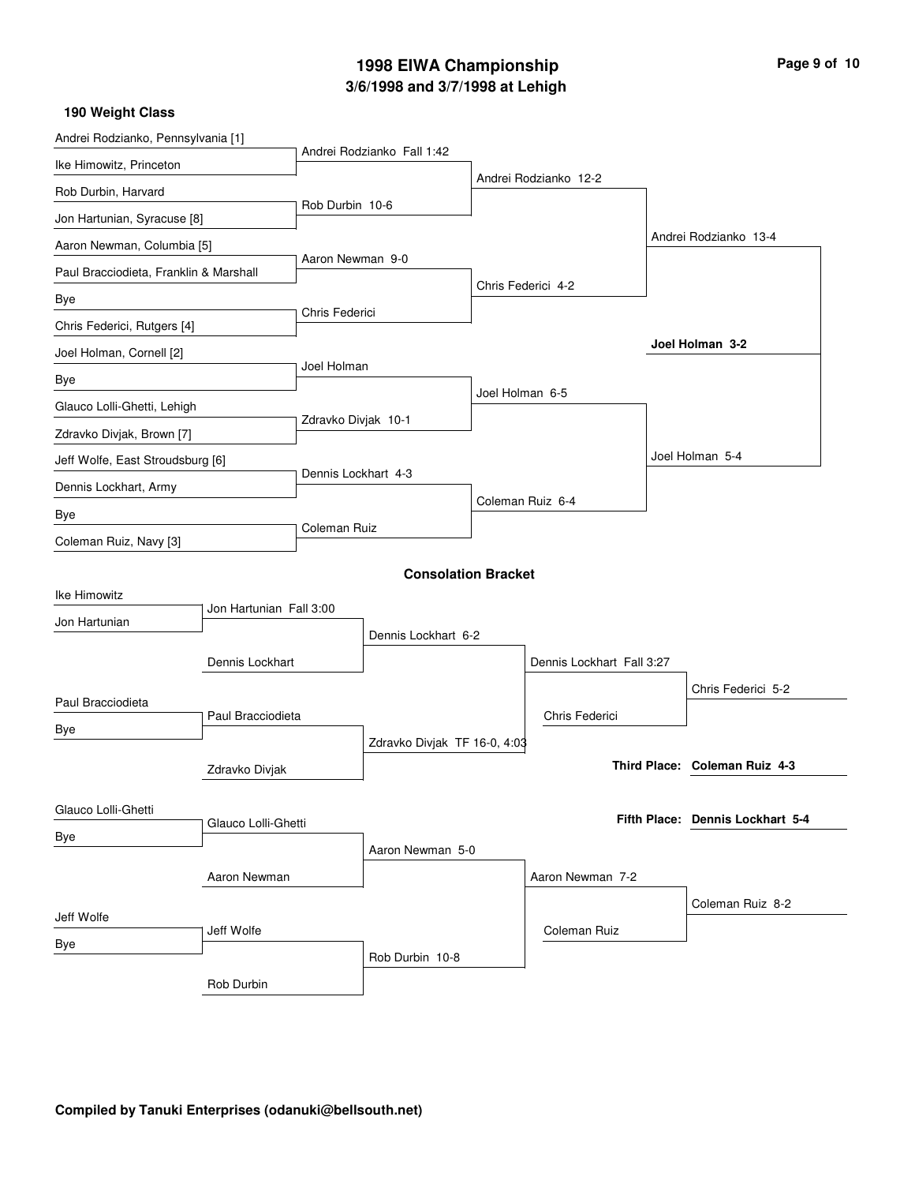# **3/6/1998 and 3/7/1998 at Lehigh 1998 EIWA Championship Page 9 of 10**

| Andrei Rodzianko, Pennsylvania [1]     |                            |                     |                              |                 |                           |  |                                  |  |  |  |
|----------------------------------------|----------------------------|---------------------|------------------------------|-----------------|---------------------------|--|----------------------------------|--|--|--|
| Ike Himowitz, Princeton                |                            |                     | Andrei Rodzianko Fall 1:42   |                 |                           |  |                                  |  |  |  |
| Rob Durbin, Harvard                    |                            |                     |                              |                 | Andrei Rodzianko 12-2     |  |                                  |  |  |  |
| Jon Hartunian, Syracuse [8]            |                            | Rob Durbin 10-6     |                              |                 |                           |  |                                  |  |  |  |
| Aaron Newman, Columbia [5]             |                            |                     |                              |                 |                           |  | Andrei Rodzianko 13-4            |  |  |  |
| Paul Bracciodieta, Franklin & Marshall |                            | Aaron Newman 9-0    |                              |                 |                           |  |                                  |  |  |  |
| Bye                                    |                            |                     |                              |                 | Chris Federici 4-2        |  |                                  |  |  |  |
| Chris Federici, Rutgers [4]            |                            | Chris Federici      |                              |                 |                           |  |                                  |  |  |  |
| Joel Holman, Cornell [2]               |                            |                     |                              |                 |                           |  | Joel Holman 3-2                  |  |  |  |
| Bye                                    |                            | Joel Holman         |                              |                 |                           |  |                                  |  |  |  |
| Glauco Lolli-Ghetti, Lehigh            |                            |                     |                              | Joel Holman 6-5 |                           |  |                                  |  |  |  |
| Zdravko Divjak, Brown [7]              |                            | Zdravko Divjak 10-1 |                              |                 |                           |  |                                  |  |  |  |
| Jeff Wolfe, East Stroudsburg [6]       |                            |                     |                              |                 |                           |  | Joel Holman 5-4                  |  |  |  |
| Dennis Lockhart, Army                  |                            | Dennis Lockhart 4-3 |                              |                 |                           |  |                                  |  |  |  |
| Bye                                    |                            |                     |                              |                 | Coleman Ruiz 6-4          |  |                                  |  |  |  |
| Coleman Ruiz, Navy [3]                 |                            | Coleman Ruiz        |                              |                 |                           |  |                                  |  |  |  |
|                                        | <b>Consolation Bracket</b> |                     |                              |                 |                           |  |                                  |  |  |  |
| Ike Himowitz                           |                            |                     |                              |                 |                           |  |                                  |  |  |  |
| Jon Hartunian                          | Jon Hartunian Fall 3:00    |                     |                              |                 |                           |  |                                  |  |  |  |
|                                        |                            | Dennis Lockhart 6-2 |                              |                 |                           |  |                                  |  |  |  |
|                                        | Dennis Lockhart            |                     |                              |                 | Dennis Lockhart Fall 3:27 |  |                                  |  |  |  |
| Paul Bracciodieta                      |                            |                     |                              |                 |                           |  | Chris Federici 5-2               |  |  |  |
| Bye                                    | Paul Bracciodieta          |                     |                              |                 | Chris Federici            |  |                                  |  |  |  |
|                                        |                            |                     | Zdravko Divjak TF 16-0, 4:03 |                 |                           |  |                                  |  |  |  |
|                                        | Zdravko Divjak             |                     |                              |                 |                           |  | Third Place: Coleman Ruiz 4-3    |  |  |  |
| Glauco Lolli-Ghetti                    |                            |                     |                              |                 |                           |  |                                  |  |  |  |
| Bye                                    | Glauco Lolli-Ghetti        |                     |                              |                 |                           |  | Fifth Place: Dennis Lockhart 5-4 |  |  |  |
|                                        |                            | Aaron Newman 5-0    |                              |                 |                           |  |                                  |  |  |  |
| Aaron Newman                           |                            |                     |                              |                 | Aaron Newman 7-2          |  |                                  |  |  |  |
| Jeff Wolfe                             |                            |                     |                              |                 |                           |  | Coleman Ruiz 8-2                 |  |  |  |
| Bye                                    | Jeff Wolfe                 |                     |                              |                 | Coleman Ruiz              |  |                                  |  |  |  |
|                                        |                            |                     | Rob Durbin 10-8              |                 |                           |  |                                  |  |  |  |
|                                        | Rob Durbin                 |                     |                              |                 |                           |  |                                  |  |  |  |